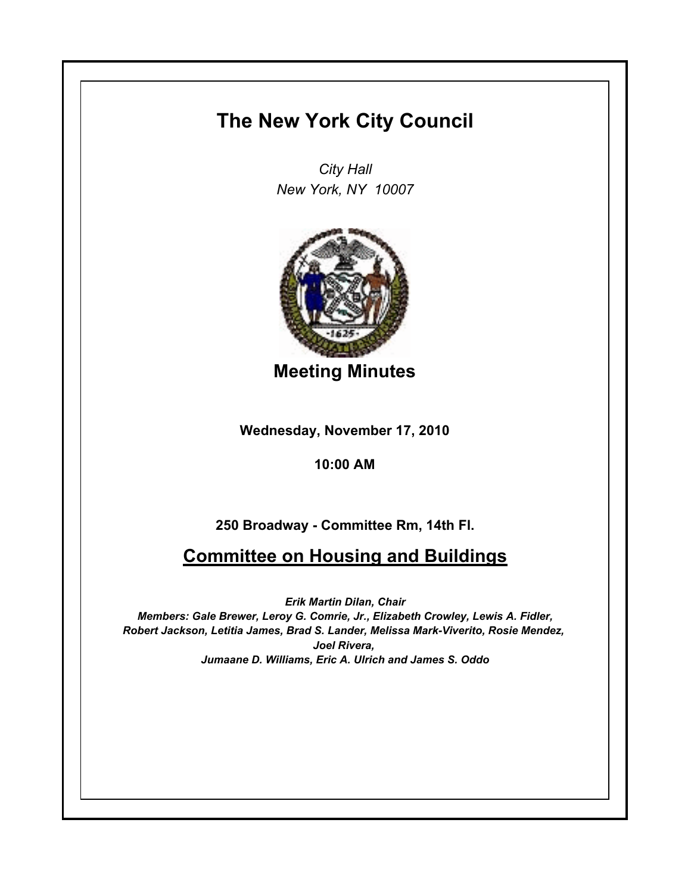## **The New York City Council**

*City Hall New York, NY 10007*



**Meeting Minutes**

**Wednesday, November 17, 2010**

## **10:00 AM**

## **250 Broadway - Committee Rm, 14th Fl.**

## **Committee on Housing and Buildings**

*Erik Martin Dilan, Chair Members: Gale Brewer, Leroy G. Comrie, Jr., Elizabeth Crowley, Lewis A. Fidler, Robert Jackson, Letitia James, Brad S. Lander, Melissa Mark-Viverito, Rosie Mendez, Joel Rivera, Jumaane D. Williams, Eric A. Ulrich and James S. Oddo*